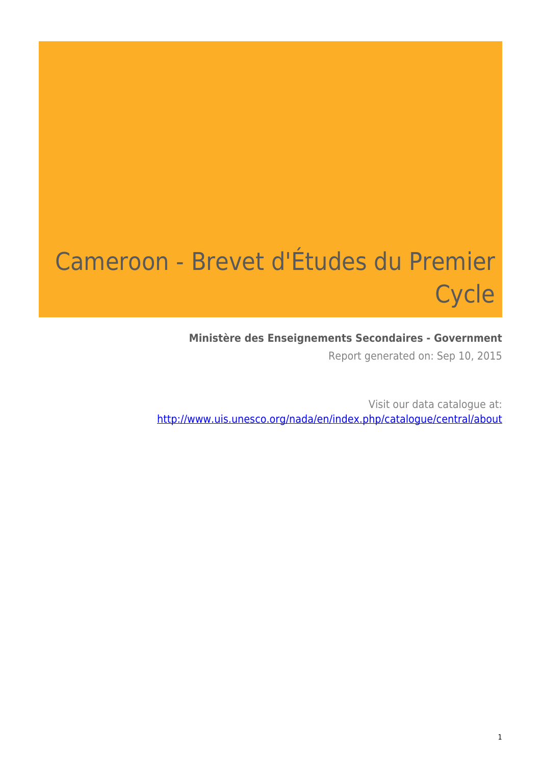# Cameroon - Brevet d'Études du Premier **Cycle**

### **Ministère des Enseignements Secondaires - Government**

Report generated on: Sep 10, 2015

Visit our data catalogue at: http://www.uis.unesco.org/nada/en/index.php/catalogue/central/about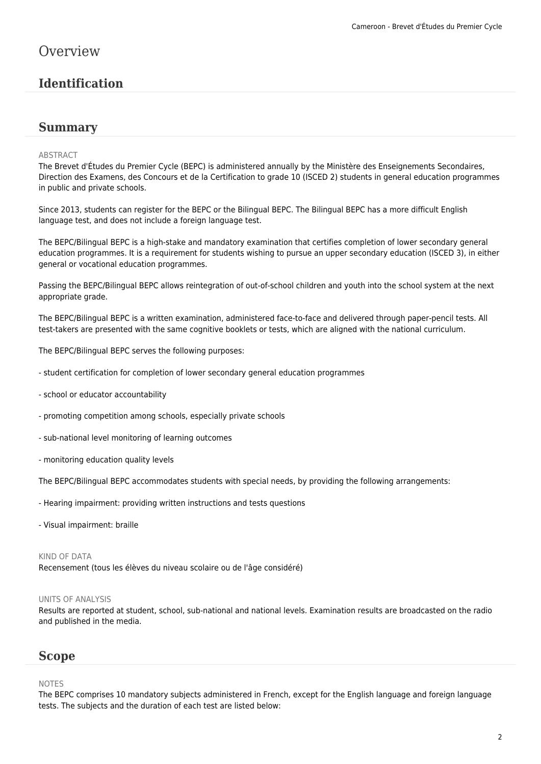### **Overview**

### **Identification**

### **Summary**

#### ABSTRACT

The Brevet d'Études du Premier Cycle (BEPC) is administered annually by the Ministère des Enseignements Secondaires, Direction des Examens, des Concours et de la Certification to grade 10 (ISCED 2) students in general education programmes in public and private schools.

Since 2013, students can register for the BEPC or the Bilingual BEPC. The Bilingual BEPC has a more difficult English language test, and does not include a foreign language test.

The BEPC/Bilingual BEPC is a high-stake and mandatory examination that certifies completion of lower secondary general education programmes. It is a requirement for students wishing to pursue an upper secondary education (ISCED 3), in either general or vocational education programmes.

Passing the BEPC/Bilingual BEPC allows reintegration of out-of-school children and youth into the school system at the next appropriate grade.

The BEPC/Bilingual BEPC is a written examination, administered face-to-face and delivered through paper-pencil tests. All test-takers are presented with the same cognitive booklets or tests, which are aligned with the national curriculum.

The BEPC/Bilingual BEPC serves the following purposes:

- student certification for completion of lower secondary general education programmes
- school or educator accountability
- promoting competition among schools, especially private schools
- sub-national level monitoring of learning outcomes
- monitoring education quality levels

The BEPC/Bilingual BEPC accommodates students with special needs, by providing the following arrangements:

- Hearing impairment: providing written instructions and tests questions
- Visual impairment: braille

#### KIND OF DATA

Recensement (tous les élèves du niveau scolaire ou de l'âge considéré)

#### UNITS OF ANALYSIS

Results are reported at student, school, sub-national and national levels. Examination results are broadcasted on the radio and published in the media.

### **Scope**

#### NOTES

The BEPC comprises 10 mandatory subjects administered in French, except for the English language and foreign language tests. The subjects and the duration of each test are listed below: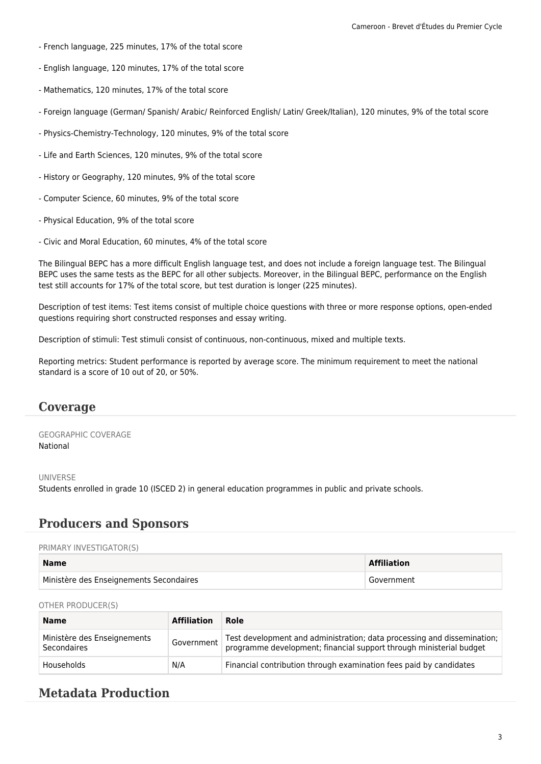- French language, 225 minutes, 17% of the total score
- English language, 120 minutes, 17% of the total score
- Mathematics, 120 minutes, 17% of the total score
- Foreign language (German/ Spanish/ Arabic/ Reinforced English/ Latin/ Greek/Italian), 120 minutes, 9% of the total score
- Physics-Chemistry-Technology, 120 minutes, 9% of the total score
- Life and Earth Sciences, 120 minutes, 9% of the total score
- History or Geography, 120 minutes, 9% of the total score
- Computer Science, 60 minutes, 9% of the total score
- Physical Education, 9% of the total score
- Civic and Moral Education, 60 minutes, 4% of the total score

The Bilingual BEPC has a more difficult English language test, and does not include a foreign language test. The Bilingual BEPC uses the same tests as the BEPC for all other subjects. Moreover, in the Bilingual BEPC, performance on the English test still accounts for 17% of the total score, but test duration is longer (225 minutes).

Description of test items: Test items consist of multiple choice questions with three or more response options, open-ended questions requiring short constructed responses and essay writing.

Description of stimuli: Test stimuli consist of continuous, non-continuous, mixed and multiple texts.

Reporting metrics: Student performance is reported by average score. The minimum requirement to meet the national standard is a score of 10 out of 20, or 50%.

### **Coverage**

GEOGRAPHIC COVERAGE National

#### UNIVERSE

Students enrolled in grade 10 (ISCED 2) in general education programmes in public and private schools.

### **Producers and Sponsors**

#### PRIMARY INVESTIGATOR(S)

| <b>Name</b>                             | <b>Affiliation</b> |
|-----------------------------------------|--------------------|
| Ministère des Enseignements Secondaires | Government         |

#### OTHER PRODUCER(S)

| <b>Name</b>                                | <b>Affiliation</b> | Role                                                                                                                                           |
|--------------------------------------------|--------------------|------------------------------------------------------------------------------------------------------------------------------------------------|
| Ministère des Enseignements<br>Secondaires | Government         | Test development and administration; data processing and dissemination;<br>programme development; financial support through ministerial budget |
| Households                                 | N/A                | Financial contribution through examination fees paid by candidates                                                                             |

### **Metadata Production**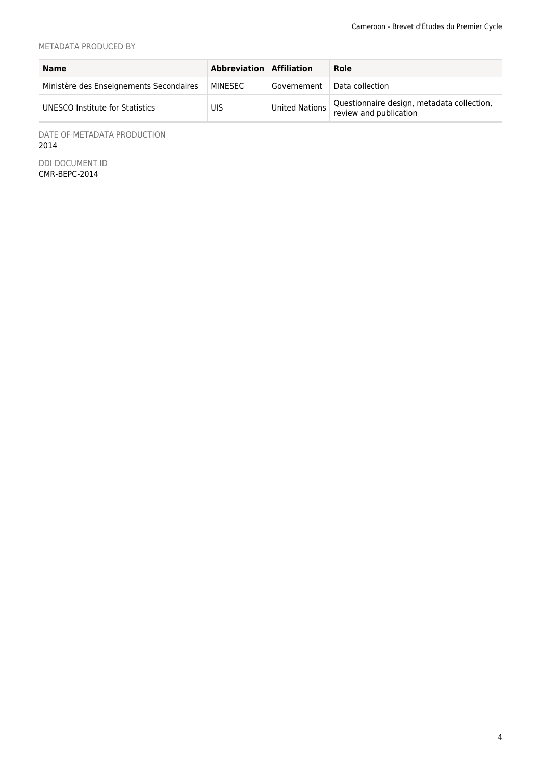#### METADATA PRODUCED BY

| <b>Name</b>                             | Abbreviation Affiliation |                       | Role                                                                 |
|-----------------------------------------|--------------------------|-----------------------|----------------------------------------------------------------------|
| Ministère des Enseignements Secondaires | MINESEC                  | Governement           | Data collection                                                      |
| UNESCO Institute for Statistics         | UIS                      | <b>United Nations</b> | Questionnaire design, metadata collection,<br>review and publication |

DATE OF METADATA PRODUCTION 2014

DDI DOCUMENT ID CMR-BEPC-2014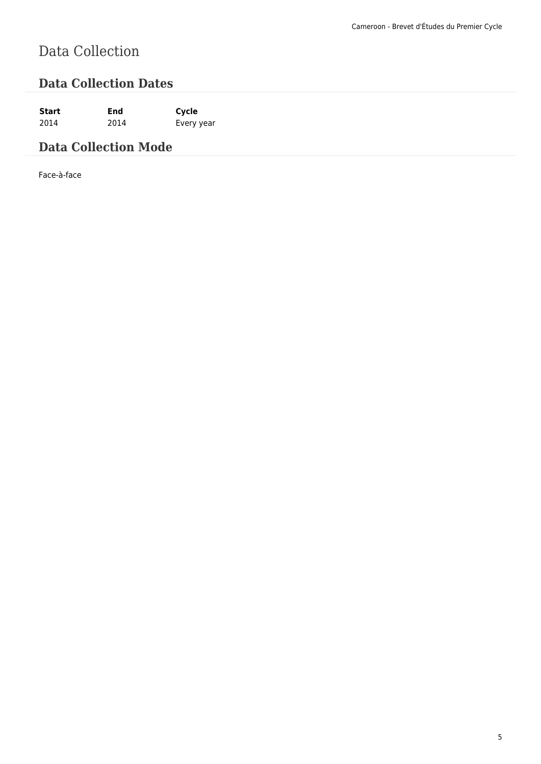# Data Collection

### **Data Collection Dates**

**Start End Cycle** 2014 2014 Every year

### **Data Collection Mode**

Face-à-face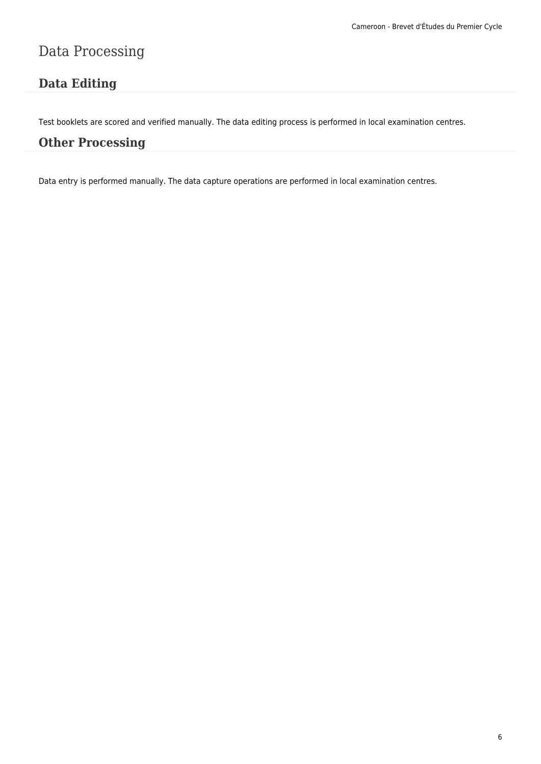## Data Processing

### **Data Editing**

Test booklets are scored and verified manually. The data editing process is performed in local examination centres.

### **Other Processing**

Data entry is performed manually. The data capture operations are performed in local examination centres.